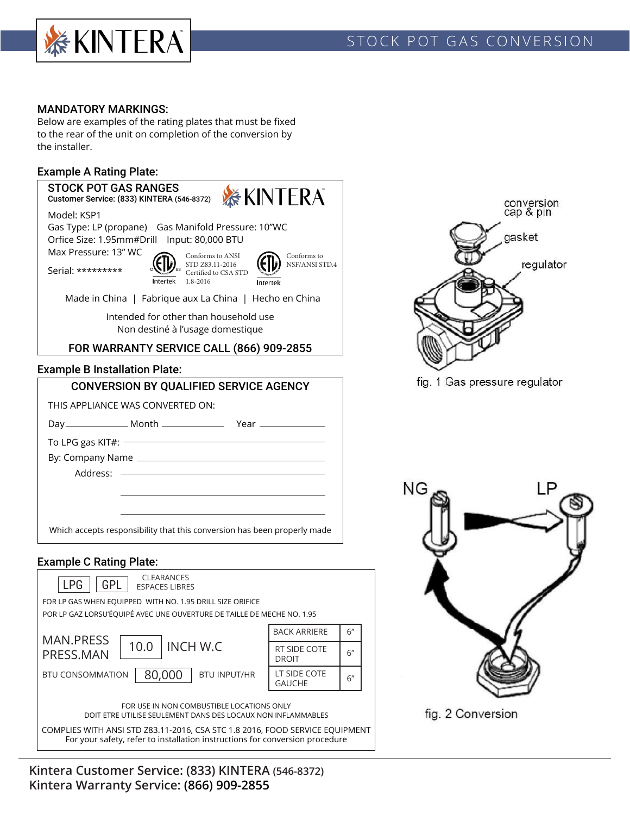

# STOCK POT GAS CONVERSION

### MANDATORY MARKINGS:

Below are examples of the rating plates that must be fixed to the rear of the unit on completion of the conversion by the installer.

### Example A Rating Plate:



FOR USE IN NON COMBUSTIBLE LOCATIONS ONLY DOIT ETRE UTILISE SEULEMENT DANS DES LOCAUX NON INFLAMMABLES

COMPLIES WITH ANSI STD Z83.11-2016, CSA STC 1.8 2016, FOOD SERVICE EQUIPMENT For your safety, refer to installation instructions for conversion procedure

**Kintera Customer Service: (833) KINTERA (546-8372) Kintera Warranty Service: (866) 909-2855**



fig. 1 Gas pressure regulator

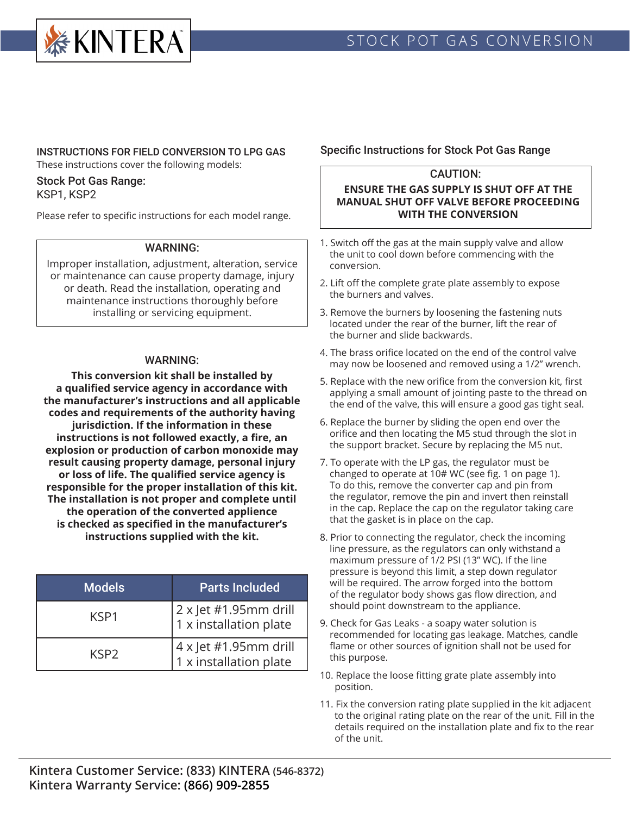

## INSTRUCTIONS FOR FIELD CONVERSION TO LPG GAS

These instructions cover the following models:

#### Stock Pot Gas Range: KSP1, KSP2

Please refer to specific instructions for each model range.

### WARNING:

Improper installation, adjustment, alteration, service or maintenance can cause property damage, injury or death. Read the installation, operating and maintenance instructions thoroughly before installing or servicing equipment.

### WARNING:

**This conversion kit shall be installed by a qualified service agency in accordance with the manufacturer's instructions and all applicable codes and requirements of the authority having jurisdiction. If the information in these instructions is not followed exactly, a fire, an explosion or production of carbon monoxide may result causing property damage, personal injury or loss of life. The qualified service agency is responsible for the proper installation of this kit. The installation is not proper and complete until the operation of the converted applience is checked as specified in the manufacturer's instructions supplied with the kit.** 

| <b>Models</b> | <b>Parts Included</b>                                  |
|---------------|--------------------------------------------------------|
| KSP1          | $2 \times$ Jet #1.95mm drill<br>1 x installation plate |
| KSP2          | $4 \times$ Jet #1.95mm drill<br>1 x installation plate |

## Specific Instructions for Stock Pot Gas Range

## CAUTION:

### **ENSURE THE GAS SUPPLY IS SHUT OFF AT THE MANUAL SHUT OFF VALVE BEFORE PROCEEDING WITH THE CONVERSION**

- 1. Switch off the gas at the main supply valve and allow the unit to cool down before commencing with the conversion.
- 2. Lift off the complete grate plate assembly to expose the burners and valves.
- 3. Remove the burners by loosening the fastening nuts located under the rear of the burner, lift the rear of the burner and slide backwards.
- 4. The brass orifice located on the end of the control valve may now be loosened and removed using a 1/2" wrench.
- 5. Replace with the new orifice from the conversion kit, first applying a small amount of jointing paste to the thread on the end of the valve, this will ensure a good gas tight seal.
- 6. Replace the burner by sliding the open end over the orifice and then locating the M5 stud through the slot in the support bracket. Secure by replacing the M5 nut.
- 7. To operate with the LP gas, the regulator must be changed to operate at 10# WC (see fig. 1 on page 1). To do this, remove the converter cap and pin from the regulator, remove the pin and invert then reinstall in the cap. Replace the cap on the regulator taking care that the gasket is in place on the cap.
- 8. Prior to connecting the regulator, check the incoming line pressure, as the regulators can only withstand a maximum pressure of 1/2 PSI (13" WC). If the line pressure is beyond this limit, a step down regulator will be required. The arrow forged into the bottom of the regulator body shows gas flow direction, and should point downstream to the appliance.
- 9. Check for Gas Leaks a soapy water solution is recommended for locating gas leakage. Matches, candle flame or other sources of ignition shall not be used for this purpose.
- 10. Replace the loose fitting grate plate assembly into position.
- 11. Fix the conversion rating plate supplied in the kit adjacent to the original rating plate on the rear of the unit. Fill in the details required on the installation plate and fix to the rear of the unit.